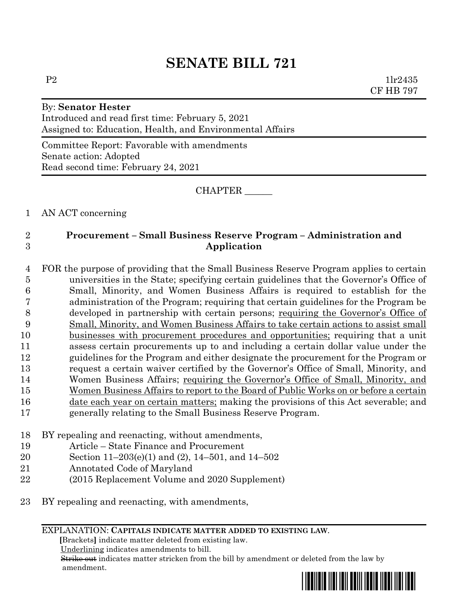# **SENATE BILL 721**

# By: **Senator Hester** Introduced and read first time: February 5, 2021 Assigned to: Education, Health, and Environmental Affairs

Committee Report: Favorable with amendments Senate action: Adopted Read second time: February 24, 2021

CHAPTER \_\_\_\_\_\_

1 AN ACT concerning

# 2 **Procurement – Small Business Reserve Program – Administration and**  3 **Application**

 FOR the purpose of providing that the Small Business Reserve Program applies to certain universities in the State; specifying certain guidelines that the Governor's Office of Small, Minority, and Women Business Affairs is required to establish for the administration of the Program; requiring that certain guidelines for the Program be developed in partnership with certain persons; requiring the Governor's Office of Small, Minority, and Women Business Affairs to take certain actions to assist small businesses with procurement procedures and opportunities; requiring that a unit assess certain procurements up to and including a certain dollar value under the guidelines for the Program and either designate the procurement for the Program or request a certain waiver certified by the Governor's Office of Small, Minority, and Women Business Affairs; requiring the Governor's Office of Small, Minority, and Women Business Affairs to report to the Board of Public Works on or before a certain 16 date each year on certain matters; making the provisions of this Act severable; and generally relating to the Small Business Reserve Program.

- 18 BY repealing and reenacting, without amendments,
- 19 Article State Finance and Procurement
- 20 Section 11–203(e)(1) and (2), 14–501, and 14–502
- 21 Annotated Code of Maryland
- 22 (2015 Replacement Volume and 2020 Supplement)
- 23 BY repealing and reenacting, with amendments,

### EXPLANATION: **CAPITALS INDICATE MATTER ADDED TO EXISTING LAW**.

 **[**Brackets**]** indicate matter deleted from existing law.

Underlining indicates amendments to bill.

 Strike out indicates matter stricken from the bill by amendment or deleted from the law by amendment.

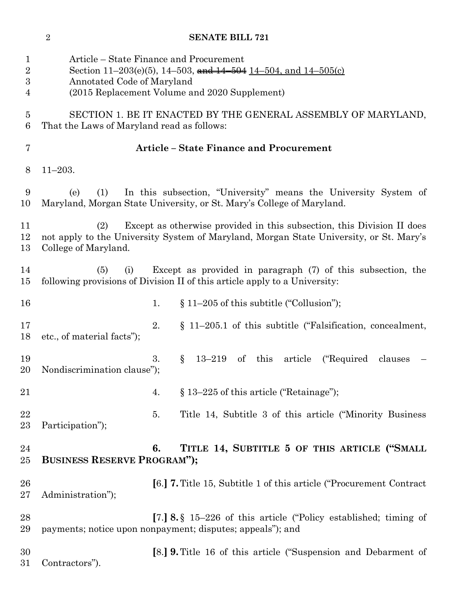|                                                        | $\sqrt{2}$                                 | <b>SENATE BILL 721</b>                                                                                                                                              |
|--------------------------------------------------------|--------------------------------------------|---------------------------------------------------------------------------------------------------------------------------------------------------------------------|
| $\mathbf 1$<br>$\overline{2}$<br>$\boldsymbol{3}$<br>4 | Annotated Code of Maryland                 | Article – State Finance and Procurement<br>Section 11–203(e)(5), 14–503, and $14$ –504 $14$ –504, and $14$ –505(c)<br>(2015 Replacement Volume and 2020 Supplement) |
| 5<br>6                                                 | That the Laws of Maryland read as follows: | SECTION 1. BE IT ENACTED BY THE GENERAL ASSEMBLY OF MARYLAND,                                                                                                       |
| 7                                                      |                                            | <b>Article - State Finance and Procurement</b>                                                                                                                      |
| 8                                                      | $11 - 203.$                                |                                                                                                                                                                     |
| 9<br>10                                                | (1)<br>(e)                                 | In this subsection, "University" means the University System of<br>Maryland, Morgan State University, or St. Mary's College of Maryland.                            |
| 11<br>12<br>13                                         | (2)<br>College of Maryland.                | Except as otherwise provided in this subsection, this Division II does<br>not apply to the University System of Maryland, Morgan State University, or St. Mary's    |
| 14<br>15                                               | (5)<br>(i)                                 | Except as provided in paragraph (7) of this subsection, the<br>following provisions of Division II of this article apply to a University:                           |
| 16                                                     |                                            | $\S 11-205$ of this subtitle ("Collusion");<br>1.                                                                                                                   |
| 17<br>18                                               | etc., of material facts");                 | 2.<br>$\S$ 11–205.1 of this subtitle ("Falsification, concealment,                                                                                                  |
| 19<br>20                                               | Nondiscrimination clause");                | 3.<br>$\mathrm{this}$<br>("Required")<br>§<br>$13 - 219$<br>of<br>article<br>clauses                                                                                |
| 21                                                     |                                            | $\S 13-225$ of this article ("Retainage");<br>4.                                                                                                                    |
| 22<br>23                                               | Participation");                           | Title 14, Subtitle 3 of this article ("Minority Business"<br>5.                                                                                                     |
| 24<br>$25\,$                                           | <b>BUSINESS RESERVE PROGRAM");</b>         | TITLE 14, SUBTITLE 5 OF THIS ARTICLE ("SMALL<br>6.                                                                                                                  |
| 26<br>$27\,$                                           | Administration");                          | [6.] <b>7.</b> Title 15, Subtitle 1 of this article ("Procurement Contract"                                                                                         |
| 28<br>29                                               |                                            | [7.] 8. $\S$ 15–226 of this article ("Policy established; timing of<br>payments; notice upon nonpayment; disputes; appeals"); and                                   |
| 30<br>31                                               | Contractors").                             | [8.] <b>9.</b> Title 16 of this article ("Suspension and Debarment of                                                                                               |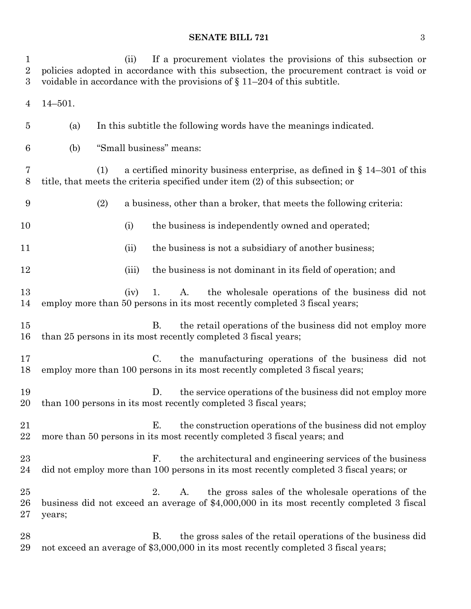# **SENATE BILL 721** 3

| 1<br>$\overline{2}$<br>3 | If a procurement violates the provisions of this subsection or<br>(ii)<br>policies adopted in accordance with this subsection, the procurement contract is void or<br>voidable in accordance with the provisions of $\S 11-204$ of this subtitle. |  |
|--------------------------|---------------------------------------------------------------------------------------------------------------------------------------------------------------------------------------------------------------------------------------------------|--|
| 4                        | $14 - 501.$                                                                                                                                                                                                                                       |  |
| $\overline{5}$           | In this subtitle the following words have the meanings indicated.<br>(a)                                                                                                                                                                          |  |
| 6                        | "Small business" means:<br>(b)                                                                                                                                                                                                                    |  |
| 7<br>$8\,$               | a certified minority business enterprise, as defined in $\S 14-301$ of this<br>(1)<br>title, that meets the criteria specified under item (2) of this subsection; or                                                                              |  |
| 9                        | (2)<br>a business, other than a broker, that meets the following criteria:                                                                                                                                                                        |  |
| 10                       | (i)<br>the business is independently owned and operated;                                                                                                                                                                                          |  |
| 11                       | the business is not a subsidiary of another business;<br>(ii)                                                                                                                                                                                     |  |
| 12                       | the business is not dominant in its field of operation; and<br>(iii)                                                                                                                                                                              |  |
| 13<br>14                 | the wholesale operations of the business did not<br>A.<br>(iv)<br>1.<br>employ more than 50 persons in its most recently completed 3 fiscal years;                                                                                                |  |
| 15<br>16                 | <b>B.</b><br>the retail operations of the business did not employ more<br>than 25 persons in its most recently completed 3 fiscal years;                                                                                                          |  |
| 17<br>18                 | $C_{\cdot}$<br>the manufacturing operations of the business did not<br>employ more than 100 persons in its most recently completed 3 fiscal years;                                                                                                |  |
| 19<br>20                 | D.<br>the service operations of the business did not employ more<br>than 100 persons in its most recently completed 3 fiscal years;                                                                                                               |  |
| 21<br>22                 | Е.<br>the construction operations of the business did not employ<br>more than 50 persons in its most recently completed 3 fiscal years; and                                                                                                       |  |
| 23<br>24                 | F.<br>the architectural and engineering services of the business<br>did not employ more than 100 persons in its most recently completed 3 fiscal years; or                                                                                        |  |
| 25<br>26<br>27           | the gross sales of the wholesale operations of the<br>A.<br>2.<br>business did not exceed an average of \$4,000,000 in its most recently completed 3 fiscal<br>years;                                                                             |  |
| 28<br>29                 | the gross sales of the retail operations of the business did<br>В.<br>not exceed an average of \$3,000,000 in its most recently completed 3 fiscal years;                                                                                         |  |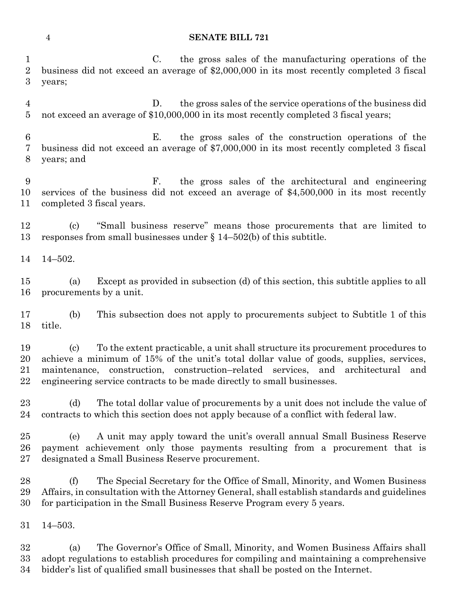#### **SENATE BILL 721**

 C. the gross sales of the manufacturing operations of the business did not exceed an average of \$2,000,000 in its most recently completed 3 fiscal years;

 D. the gross sales of the service operations of the business did not exceed an average of \$10,000,000 in its most recently completed 3 fiscal years;

 E. the gross sales of the construction operations of the business did not exceed an average of \$7,000,000 in its most recently completed 3 fiscal years; and

 F. the gross sales of the architectural and engineering services of the business did not exceed an average of \$4,500,000 in its most recently completed 3 fiscal years.

 (c) "Small business reserve" means those procurements that are limited to responses from small businesses under § 14–502(b) of this subtitle.

14–502.

 (a) Except as provided in subsection (d) of this section, this subtitle applies to all procurements by a unit.

 (b) This subsection does not apply to procurements subject to Subtitle 1 of this title.

 (c) To the extent practicable, a unit shall structure its procurement procedures to achieve a minimum of 15% of the unit's total dollar value of goods, supplies, services, maintenance, construction, construction–related services, and architectural and engineering service contracts to be made directly to small businesses.

 (d) The total dollar value of procurements by a unit does not include the value of contracts to which this section does not apply because of a conflict with federal law.

 (e) A unit may apply toward the unit's overall annual Small Business Reserve payment achievement only those payments resulting from a procurement that is designated a Small Business Reserve procurement.

 (f) The Special Secretary for the Office of Small, Minority, and Women Business Affairs, in consultation with the Attorney General, shall establish standards and guidelines for participation in the Small Business Reserve Program every 5 years.

14–503.

 (a) The Governor's Office of Small, Minority, and Women Business Affairs shall adopt regulations to establish procedures for compiling and maintaining a comprehensive bidder's list of qualified small businesses that shall be posted on the Internet.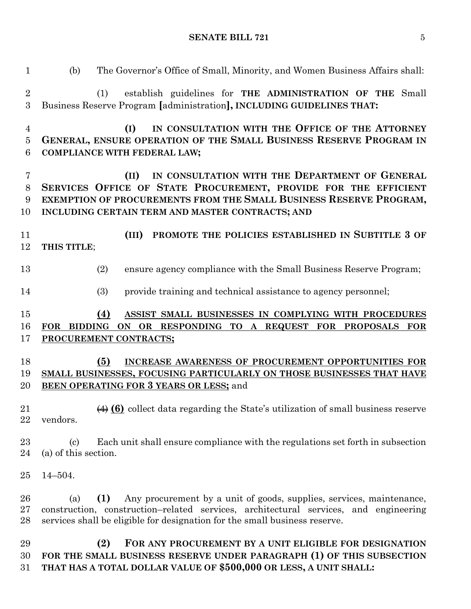**SENATE BILL 721** 5

| $\mathbf{1}$                       | The Governor's Office of Small, Minority, and Women Business Affairs shall:<br>(b)                                                                                                                                                                       |  |
|------------------------------------|----------------------------------------------------------------------------------------------------------------------------------------------------------------------------------------------------------------------------------------------------------|--|
| $\overline{2}$<br>$\boldsymbol{3}$ | establish guidelines for THE ADMINISTRATION OF THE Small<br>(1)<br>Business Reserve Program [administration], INCLUDING GUIDELINES THAT:                                                                                                                 |  |
| 4<br>$\overline{5}$<br>6           | IN CONSULTATION WITH THE OFFICE OF THE ATTORNEY<br>(I)<br>GENERAL, ENSURE OPERATION OF THE SMALL BUSINESS RESERVE PROGRAM IN<br><b>COMPLIANCE WITH FEDERAL LAW;</b>                                                                                      |  |
| $\overline{7}$<br>8<br>9<br>10     | IN CONSULTATION WITH THE DEPARTMENT OF GENERAL<br>(II)<br>SERVICES OFFICE OF STATE PROCUREMENT, PROVIDE FOR THE EFFICIENT<br>EXEMPTION OF PROCUREMENTS FROM THE SMALL BUSINESS RESERVE PROGRAM,<br>INCLUDING CERTAIN TERM AND MASTER CONTRACTS; AND      |  |
| 11<br>12                           | PROMOTE THE POLICIES ESTABLISHED IN SUBTITLE 3 OF<br>(III)<br>THIS TITLE;                                                                                                                                                                                |  |
| 13                                 | ensure agency compliance with the Small Business Reserve Program;<br>(2)                                                                                                                                                                                 |  |
| 14                                 | (3)<br>provide training and technical assistance to agency personnel;                                                                                                                                                                                    |  |
| 15<br>16<br>17                     | ASSIST SMALL BUSINESSES IN COMPLYING WITH PROCEDURES<br>(4)<br>FOR BIDDING ON OR RESPONDING TO A REQUEST FOR PROPOSALS FOR<br>PROCUREMENT CONTRACTS;                                                                                                     |  |
| 18<br>19<br>20                     | INCREASE AWARENESS OF PROCUREMENT OPPORTUNITIES FOR<br>(5)<br>SMALL BUSINESSES, FOCUSING PARTICULARLY ON THOSE BUSINESSES THAT HAVE<br>BEEN OPERATING FOR 3 YEARS OR LESS; and                                                                           |  |
| 21<br>22                           | $\leftrightarrow$ (6) collect data regarding the State's utilization of small business reserve<br>vendors.                                                                                                                                               |  |
| 23<br>24                           | Each unit shall ensure compliance with the regulations set forth in subsection<br>$\left( \mathrm{c}\right)$<br>(a) of this section.                                                                                                                     |  |
| 25                                 | $14 - 504.$                                                                                                                                                                                                                                              |  |
| 26<br>27<br>28                     | Any procurement by a unit of goods, supplies, services, maintenance,<br>(1)<br>(a)<br>construction, construction-related services, architectural services, and engineering<br>services shall be eligible for designation for the small business reserve. |  |
| 29<br>30<br>31                     | (2)<br>FOR ANY PROCUREMENT BY A UNIT ELIGIBLE FOR DESIGNATION<br>FOR THE SMALL BUSINESS RESERVE UNDER PARAGRAPH (1) OF THIS SUBSECTION<br>THAT HAS A TOTAL DOLLAR VALUE OF \$500,000 OR LESS, A UNIT SHALL:                                              |  |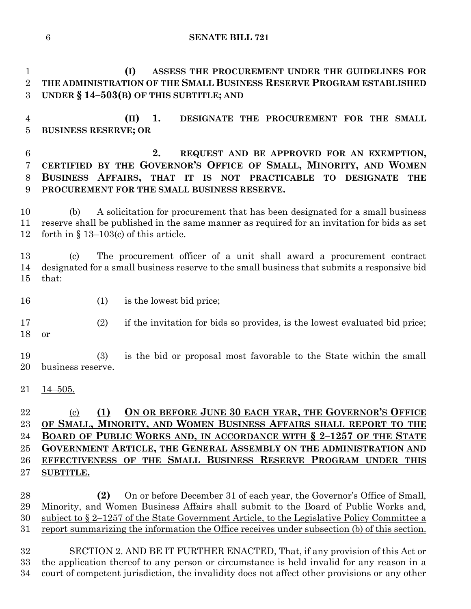**SENATE BILL 721**

 **(I) ASSESS THE PROCUREMENT UNDER THE GUIDELINES FOR THE ADMINISTRATION OF THE SMALL BUSINESS RESERVE PROGRAM ESTABLISHED UNDER § 14–503(B) OF THIS SUBTITLE; AND**

 **(II) 1. DESIGNATE THE PROCUREMENT FOR THE SMALL BUSINESS RESERVE; OR**

 **2. REQUEST AND BE APPROVED FOR AN EXEMPTION, CERTIFIED BY THE GOVERNOR'S OFFICE OF SMALL, MINORITY, AND WOMEN BUSINESS AFFAIRS, THAT IT IS NOT PRACTICABLE TO DESIGNATE THE PROCUREMENT FOR THE SMALL BUSINESS RESERVE.**

 (b) A solicitation for procurement that has been designated for a small business reserve shall be published in the same manner as required for an invitation for bids as set forth in § 13–103(c) of this article.

 (c) The procurement officer of a unit shall award a procurement contract designated for a small business reserve to the small business that submits a responsive bid that:

16 (1) is the lowest bid price;

 (2) if the invitation for bids so provides, is the lowest evaluated bid price; or

 (3) is the bid or proposal most favorable to the State within the small business reserve.

 $21 \quad \underline{14-505}$ .

# (c) **(1) ON OR BEFORE JUNE 30 EACH YEAR, THE GOVERNOR'S OFFICE OF SMALL, MINORITY, AND WOMEN BUSINESS AFFAIRS SHALL REPORT TO THE BOARD OF PUBLIC WORKS AND, IN ACCORDANCE WITH § 2–1257 OF THE STATE GOVERNMENT ARTICLE, THE GENERAL ASSEMBLY ON THE ADMINISTRATION AND EFFECTIVENESS OF THE SMALL BUSINESS RESERVE PROGRAM UNDER THIS SUBTITLE.**

 **(2)** On or before December 31 of each year, the Governor's Office of Small, Minority, and Women Business Affairs shall submit to the Board of Public Works and, subject to § 2–1257 of the State Government Article, to the Legislative Policy Committee a report summarizing the information the Office receives under subsection (b) of this section.

 SECTION 2. AND BE IT FURTHER ENACTED, That, if any provision of this Act or the application thereof to any person or circumstance is held invalid for any reason in a court of competent jurisdiction, the invalidity does not affect other provisions or any other